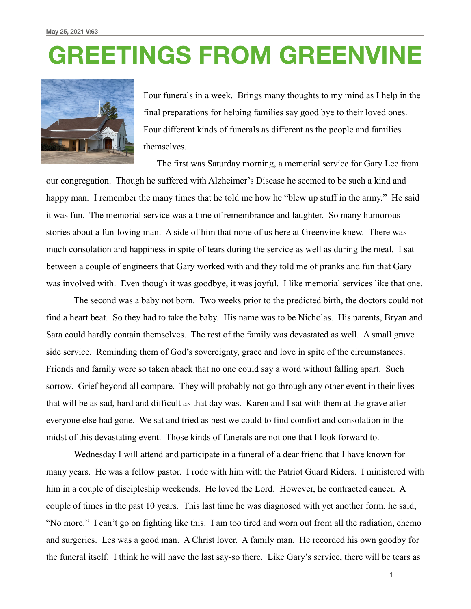## **GREETINGS FROM GREENVINE**



Four funerals in a week. Brings many thoughts to my mind as I help in the final preparations for helping families say good bye to their loved ones. Four different kinds of funerals as different as the people and families themselves.

 The first was Saturday morning, a memorial service for Gary Lee from our congregation. Though he suffered with Alzheimer's Disease he seemed to be such a kind and happy man. I remember the many times that he told me how he "blew up stuff in the army." He said it was fun. The memorial service was a time of remembrance and laughter. So many humorous stories about a fun-loving man. A side of him that none of us here at Greenvine knew. There was much consolation and happiness in spite of tears during the service as well as during the meal. I sat between a couple of engineers that Gary worked with and they told me of pranks and fun that Gary was involved with. Even though it was goodbye, it was joyful. I like memorial services like that one.

 The second was a baby not born. Two weeks prior to the predicted birth, the doctors could not find a heart beat. So they had to take the baby. His name was to be Nicholas. His parents, Bryan and Sara could hardly contain themselves. The rest of the family was devastated as well. A small grave side service. Reminding them of God's sovereignty, grace and love in spite of the circumstances. Friends and family were so taken aback that no one could say a word without falling apart. Such sorrow. Grief beyond all compare. They will probably not go through any other event in their lives that will be as sad, hard and difficult as that day was. Karen and I sat with them at the grave after everyone else had gone. We sat and tried as best we could to find comfort and consolation in the midst of this devastating event. Those kinds of funerals are not one that I look forward to.

 Wednesday I will attend and participate in a funeral of a dear friend that I have known for many years. He was a fellow pastor. I rode with him with the Patriot Guard Riders. I ministered with him in a couple of discipleship weekends. He loved the Lord. However, he contracted cancer. A couple of times in the past 10 years. This last time he was diagnosed with yet another form, he said, "No more." I can't go on fighting like this. I am too tired and worn out from all the radiation, chemo and surgeries. Les was a good man. A Christ lover. A family man. He recorded his own goodby for the funeral itself. I think he will have the last say-so there. Like Gary's service, there will be tears as

**1**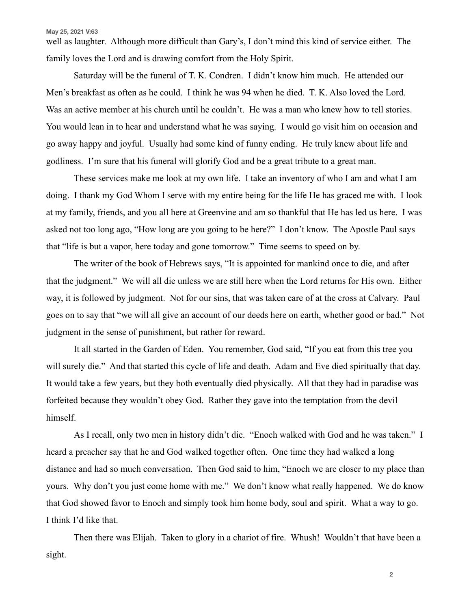## **May 25, 2021 V:63**

well as laughter. Although more difficult than Gary's, I don't mind this kind of service either. The family loves the Lord and is drawing comfort from the Holy Spirit.

 Saturday will be the funeral of T. K. Condren. I didn't know him much. He attended our Men's breakfast as often as he could. I think he was 94 when he died. T. K. Also loved the Lord. Was an active member at his church until he couldn't. He was a man who knew how to tell stories. You would lean in to hear and understand what he was saying. I would go visit him on occasion and go away happy and joyful. Usually had some kind of funny ending. He truly knew about life and godliness. I'm sure that his funeral will glorify God and be a great tribute to a great man.

 These services make me look at my own life. I take an inventory of who I am and what I am doing. I thank my God Whom I serve with my entire being for the life He has graced me with. I look at my family, friends, and you all here at Greenvine and am so thankful that He has led us here. I was asked not too long ago, "How long are you going to be here?" I don't know. The Apostle Paul says that "life is but a vapor, here today and gone tomorrow." Time seems to speed on by.

 The writer of the book of Hebrews says, "It is appointed for mankind once to die, and after that the judgment." We will all die unless we are still here when the Lord returns for His own. Either way, it is followed by judgment. Not for our sins, that was taken care of at the cross at Calvary. Paul goes on to say that "we will all give an account of our deeds here on earth, whether good or bad." Not judgment in the sense of punishment, but rather for reward.

 It all started in the Garden of Eden. You remember, God said, "If you eat from this tree you will surely die." And that started this cycle of life and death. Adam and Eve died spiritually that day. It would take a few years, but they both eventually died physically. All that they had in paradise was forfeited because they wouldn't obey God. Rather they gave into the temptation from the devil himself.

 As I recall, only two men in history didn't die. "Enoch walked with God and he was taken." I heard a preacher say that he and God walked together often. One time they had walked a long distance and had so much conversation. Then God said to him, "Enoch we are closer to my place than yours. Why don't you just come home with me." We don't know what really happened. We do know that God showed favor to Enoch and simply took him home body, soul and spirit. What a way to go. I think I'd like that.

 Then there was Elijah. Taken to glory in a chariot of fire. Whush! Wouldn't that have been a sight.

**2**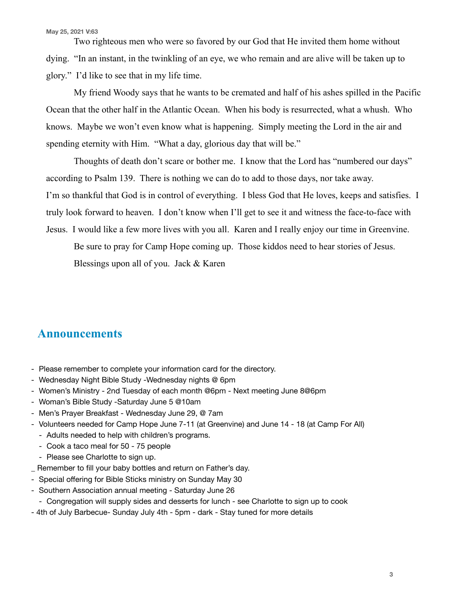Two righteous men who were so favored by our God that He invited them home without dying. "In an instant, in the twinkling of an eye, we who remain and are alive will be taken up to glory." I'd like to see that in my life time.

 My friend Woody says that he wants to be cremated and half of his ashes spilled in the Pacific Ocean that the other half in the Atlantic Ocean. When his body is resurrected, what a whush. Who knows. Maybe we won't even know what is happening. Simply meeting the Lord in the air and spending eternity with Him. "What a day, glorious day that will be."

 Thoughts of death don't scare or bother me. I know that the Lord has "numbered our days" according to Psalm 139. There is nothing we can do to add to those days, nor take away. I'm so thankful that God is in control of everything. I bless God that He loves, keeps and satisfies. I truly look forward to heaven. I don't know when I'll get to see it and witness the face-to-face with Jesus. I would like a few more lives with you all. Karen and I really enjoy our time in Greenvine.

 Be sure to pray for Camp Hope coming up. Those kiddos need to hear stories of Jesus. Blessings upon all of you. Jack & Karen

## **Announcements**

- Please remember to complete your information card for the directory.
- Wednesday Night Bible Study -Wednesday nights @ 6pm
- Women's Ministry 2nd Tuesday of each month @6pm Next meeting June 8@6pm
- Woman's Bible Study -Saturday June 5 @10am
- Men's Prayer Breakfast Wednesday June 29, @ 7am
- Volunteers needed for Camp Hope June 7-11 (at Greenvine) and June 14 18 (at Camp For All)
	- Adults needed to help with children's programs.
	- Cook a taco meal for 50 75 people
	- Please see Charlotte to sign up.
- \_ Remember to fill your baby bottles and return on Father's day.
- Special offering for Bible Sticks ministry on Sunday May 30
- Southern Association annual meeting Saturday June 26
	- Congregation will supply sides and desserts for lunch see Charlotte to sign up to cook
- 4th of July Barbecue- Sunday July 4th 5pm dark Stay tuned for more details